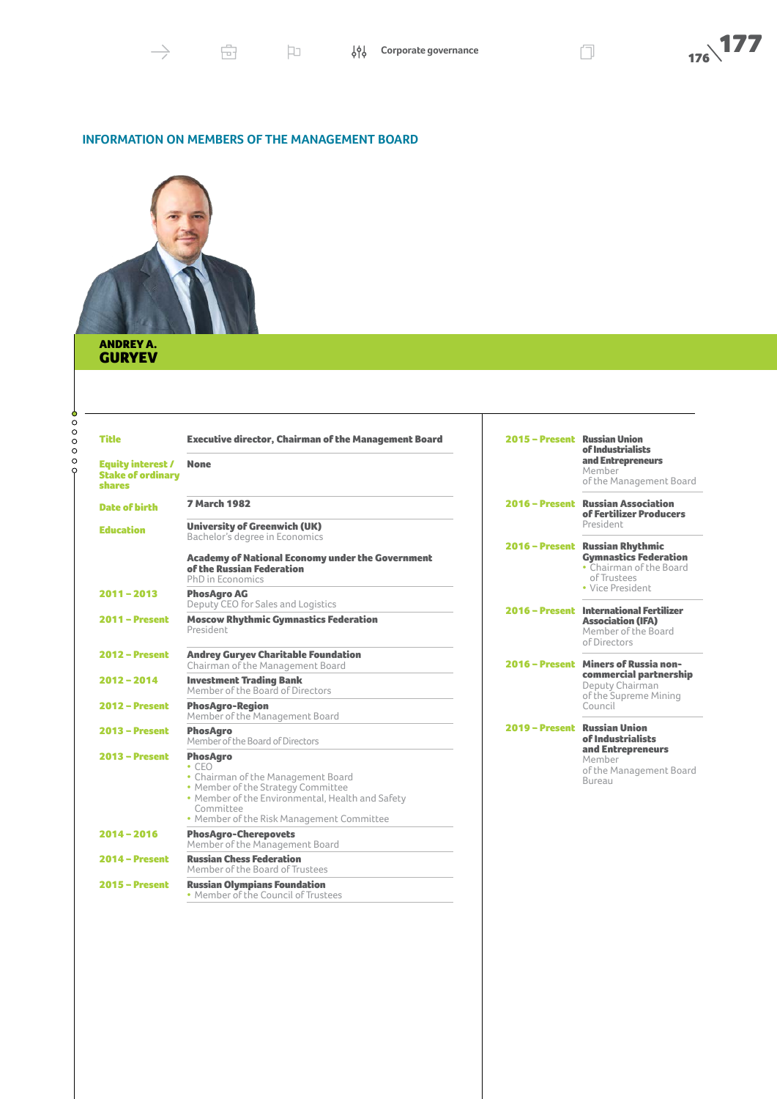

### **INFORMATION ON MEMBERS OF THE MANAGEMENT BOARD**



### ANDREY A. GURYEV

| <b>Title</b><br><b>Equity interest /</b>  | <b>Executive director, Chairman of the Management Board</b><br><b>None</b>                                                                                                                                               | 2015 - Present Russian Union | of Industrialists<br>and Entrepreneurs                                                                     |
|-------------------------------------------|--------------------------------------------------------------------------------------------------------------------------------------------------------------------------------------------------------------------------|------------------------------|------------------------------------------------------------------------------------------------------------|
| <b>Stake of ordinary</b><br><b>shares</b> |                                                                                                                                                                                                                          |                              | Member<br>of the Management Board                                                                          |
| <b>Date of birth</b>                      | <b>7 March 1982</b>                                                                                                                                                                                                      |                              | 2016 - Present Russian Association<br>of Fertilizer Producers                                              |
| <b>Education</b>                          | <b>University of Greenwich (UK)</b><br>Bachelor's degree in Economics                                                                                                                                                    |                              | President                                                                                                  |
|                                           | <b>Academy of National Economy under the Government</b><br>of the Russian Federation<br>PhD in Economics                                                                                                                 |                              | 2016 - Present Russian Rhythmic<br><b>Gymnastics Federation</b><br>• Chairman of the Board<br>of Trustees  |
| 2011-2013                                 | <b>PhosAgro AG</b><br>Deputy CEO for Sales and Logistics                                                                                                                                                                 |                              | • Vice President                                                                                           |
| $2011 -$ Present                          | <b>Moscow Rhythmic Gymnastics Federation</b><br>President                                                                                                                                                                |                              | 2016 - Present International Fertilizer<br><b>Association (IFA)</b><br>Member of the Board<br>of Directors |
| $2012 - Present$                          | <b>Andrey Guryev Charitable Foundation</b><br>Chairman of the Management Board                                                                                                                                           |                              | 2016 - Present Miners of Russia non-                                                                       |
| 2012-2014                                 | <b>Investment Trading Bank</b><br>Member of the Board of Directors                                                                                                                                                       |                              | commercial partnership<br>Deputy Chairman<br>of the Supreme Mining<br>Council                              |
| <b>2012 - Present</b>                     | <b>PhosAgro-Region</b><br>Member of the Management Board                                                                                                                                                                 |                              |                                                                                                            |
| $2013 - Present$                          | <b>PhosAaro</b><br>Member of the Board of Directors                                                                                                                                                                      | 2019 – Present Russian Union | of Industrialists                                                                                          |
| $2013 - Present$                          | <b>PhosAaro</b><br>$\cdot$ CFO<br>• Chairman of the Management Board<br>• Member of the Strategy Committee<br>• Member of the Environmental, Health and Safety<br>Committee<br>• Member of the Risk Management Committee |                              | and Entrepreneurs<br>Member<br>of the Management Board<br>Bureau                                           |
| $2014 - 2016$                             | <b>PhosAgro-Cherepovets</b><br>Member of the Management Board                                                                                                                                                            |                              |                                                                                                            |
| $2014 -$ Present                          | <b>Russian Chess Federation</b><br>Member of the Board of Trustees                                                                                                                                                       |                              |                                                                                                            |
| $2015 -$ Present                          | <b>Russian Olympians Foundation</b><br>• Member of the Council of Trustees                                                                                                                                               |                              |                                                                                                            |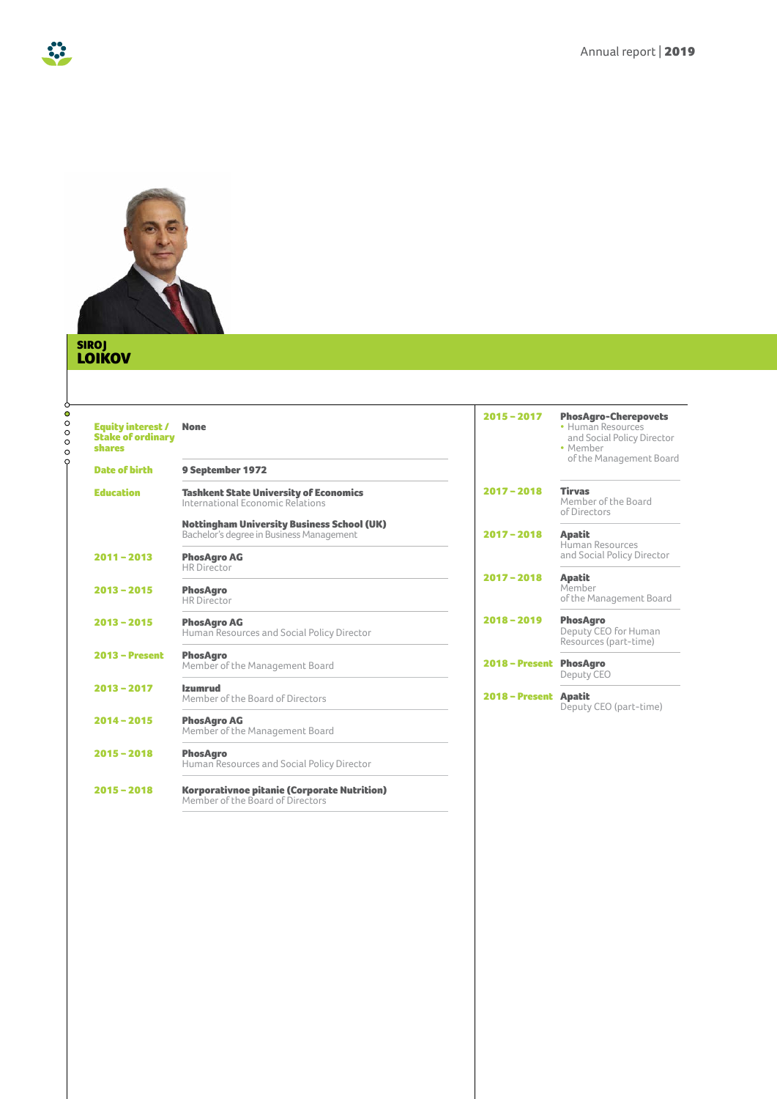

### SIROJ LOIKOV

 $\ddot{\bm{\delta}}$ 

| <b>Equity interest /</b><br><b>Stake of ordinary</b><br>shares | <b>None</b>                                                                                   | $2015 - 2017$    | <b>PhosAgro-Cherepovets</b><br>· Human Resources<br>and Social Policy Director<br>• Member<br>of the Management Board |
|----------------------------------------------------------------|-----------------------------------------------------------------------------------------------|------------------|-----------------------------------------------------------------------------------------------------------------------|
| <b>Date of birth</b>                                           | 9 September 1972                                                                              |                  |                                                                                                                       |
| <b>Education</b>                                               | <b>Tashkent State University of Economics</b><br>International Fconomic Relations             | $2017 - 2018$    | <b>Tirvas</b><br>Member of the Board<br>of Directors                                                                  |
|                                                                | <b>Nottingham University Business School (UK)</b><br>Bachelor's degree in Business Management | $2017 - 2018$    | <b>Apatit</b>                                                                                                         |
| $2011 - 2013$                                                  | <b>PhosAgro AG</b>                                                                            |                  | Human Resources<br>and Social Policy Director                                                                         |
| $2013 - 2015$                                                  | <b>HR</b> Director<br><b>PhosAgro</b><br><b>HR</b> Director                                   | $2017 - 2018$    | <b>Apatit</b><br>Member<br>of the Management Board                                                                    |
| $2013 - 2015$                                                  | <b>PhosAgro AG</b><br>Human Resources and Social Policy Director                              | $2018 - 2019$    | <b>PhosAgro</b><br>Deputy CEO for Human<br>Resources (part-time)                                                      |
| $2013 - Present$                                               | <b>PhosAgro</b><br>Member of the Management Board                                             | $2018 -$ Present | <b>PhosAgro</b><br>Deputy CEO                                                                                         |
| $2013 - 2017$                                                  | <b>Izumrud</b><br>Member of the Board of Directors                                            | $2018 -$ Present | <b>Apatit</b>                                                                                                         |
| $2014 - 2015$                                                  | <b>PhosAgro AG</b><br>Member of the Management Board                                          |                  | Deputy CEO (part-time)                                                                                                |
| $2015 - 2018$                                                  | <b>PhosAgro</b><br>Human Resources and Social Policy Director                                 |                  |                                                                                                                       |
| $2015 - 2018$                                                  | <b>Korporativnoe pitanie (Corporate Nutrition)</b><br>Member of the Board of Directors        |                  |                                                                                                                       |
|                                                                |                                                                                               |                  |                                                                                                                       |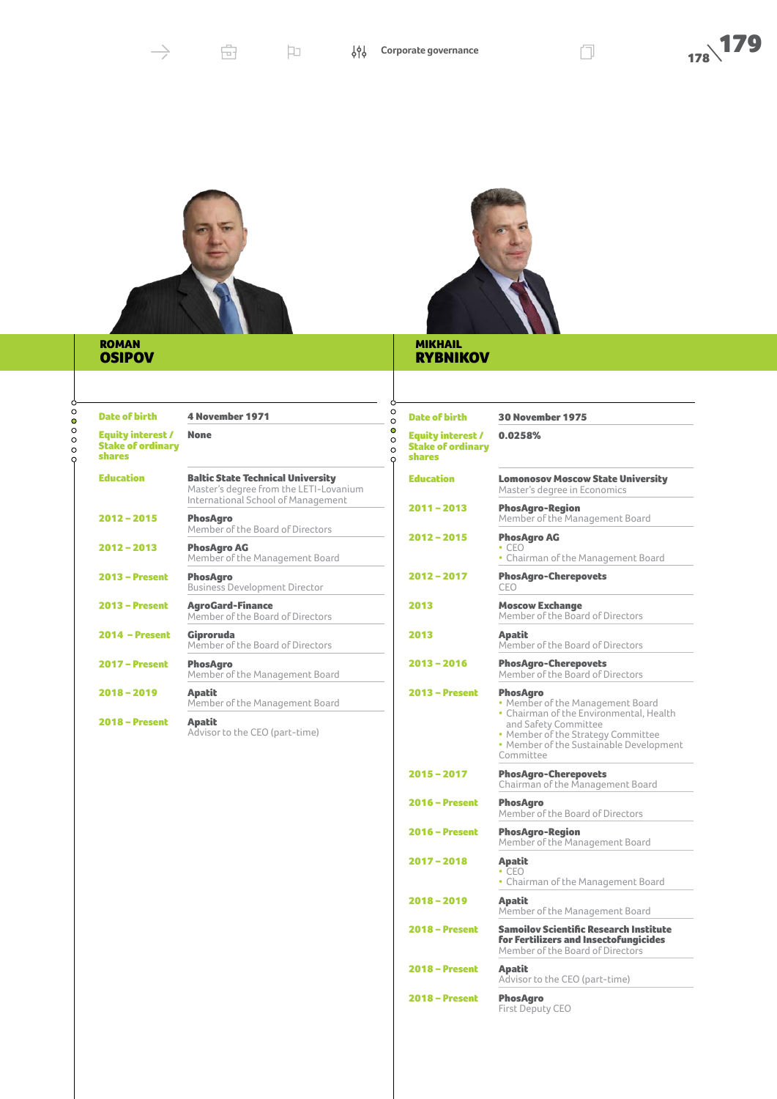



### ROMAN OSIPOV



# **RYBNIKOV**

| <b>Date of birth</b>                                                  | <b>4 November 1971</b>                                                                                                   |
|-----------------------------------------------------------------------|--------------------------------------------------------------------------------------------------------------------------|
| <b>Equity interest /</b><br><b>Stake of ordinary</b><br><b>shares</b> | <b>None</b>                                                                                                              |
| <b>Education</b>                                                      | <b>Baltic State Technical University</b><br>Master's degree from the LETI-Lovanium<br>International School of Management |
| $2012 - 2015$                                                         | <b>PhosAgro</b><br>Member of the Board of Directors                                                                      |
| $2012 - 2013$                                                         | <b>PhosAgro AG</b><br>Member of the Management Board                                                                     |
| <b>2013 - Present</b>                                                 | <b>PhosAgro</b><br><b>Business Development Director</b>                                                                  |
| $2013 - Present$                                                      | <b>AgroGard-Finance</b><br>Member of the Board of Directors                                                              |
| $2014 - Present$                                                      | Giproruda<br>Member of the Board of Directors                                                                            |
| <b>2017 - Present</b>                                                 | <b>PhosAgro</b><br>Member of the Management Board                                                                        |
| $2018 - 2019$                                                         | <b>Apatit</b><br>Member of the Management Board                                                                          |
| $2018 -$ Present                                                      | <b>Apatit</b><br>Advisor to the CEO (part-time)                                                                          |
|                                                                       |                                                                                                                          |
|                                                                       |                                                                                                                          |
|                                                                       |                                                                                                                          |

| <b>Date of birth</b>                                           | <b>30 November 1975</b>                                                                                                                                                                                              |
|----------------------------------------------------------------|----------------------------------------------------------------------------------------------------------------------------------------------------------------------------------------------------------------------|
| <b>Equity interest /</b><br><b>Stake of ordinary</b><br>shares | 0.0258%                                                                                                                                                                                                              |
| <b>Education</b>                                               | <b>Lomonosov Moscow State University</b><br>Master's degree in Economics                                                                                                                                             |
| $2011 - 2013$                                                  | <b>PhosAgro-Region</b><br>Member of the Management Board                                                                                                                                                             |
| 2012 - 2015                                                    | <b>PhosAgro AG</b><br>$\cdot$ CEO<br>• Chairman of the Management Board                                                                                                                                              |
| 2012 - 2017                                                    | <b>PhosAgro-Cherepovets</b><br>CEO                                                                                                                                                                                   |
| 2013                                                           | <b>Moscow Exchange</b><br>Member of the Board of Directors                                                                                                                                                           |
| 2013                                                           | <b>Apatit</b><br>Member of the Board of Directors                                                                                                                                                                    |
| 2013 - 2016                                                    | <b>PhosAgro-Cherepovets</b><br>Member of the Board of Directors                                                                                                                                                      |
| 2013 – Present                                                 | <b>PhosAgro</b><br>• Member of the Management Board<br>• Chairman of the Environmental, Health<br>and Safety Committee<br>• Member of the Strategy Committee<br>• Member of the Sustainable Development<br>Committee |
| 2015 - 2017                                                    | <b>PhosAgro-Cherepovets</b><br>Chairman of the Management Board                                                                                                                                                      |
| 2016 – Present                                                 | <b>PhosAgro</b><br>Member of the Board of Directors                                                                                                                                                                  |
| <b>2016 - Present</b>                                          | <b>PhosAgro-Region</b><br>Member of the Management Board                                                                                                                                                             |
| 2017 - 2018                                                    | <b>Apatit</b><br>$\cdot$ CEO<br>• Chairman of the Management Board                                                                                                                                                   |
| 2018 - 2019                                                    | Apatit<br>Member of the Management Board                                                                                                                                                                             |
| 2018 – Present                                                 | <b>Samoilov Scientific Research Institute</b><br><b>for Fertilizers and Insectofungicides</b><br>Member of the Board of Directors                                                                                    |
| <b>2018 – Present</b>                                          | <b>Apatit</b><br>Advisor to the CEO (part-time)                                                                                                                                                                      |
| <b>2018 - Present</b>                                          | <b>PhosAgro</b><br>First Deputy CEO                                                                                                                                                                                  |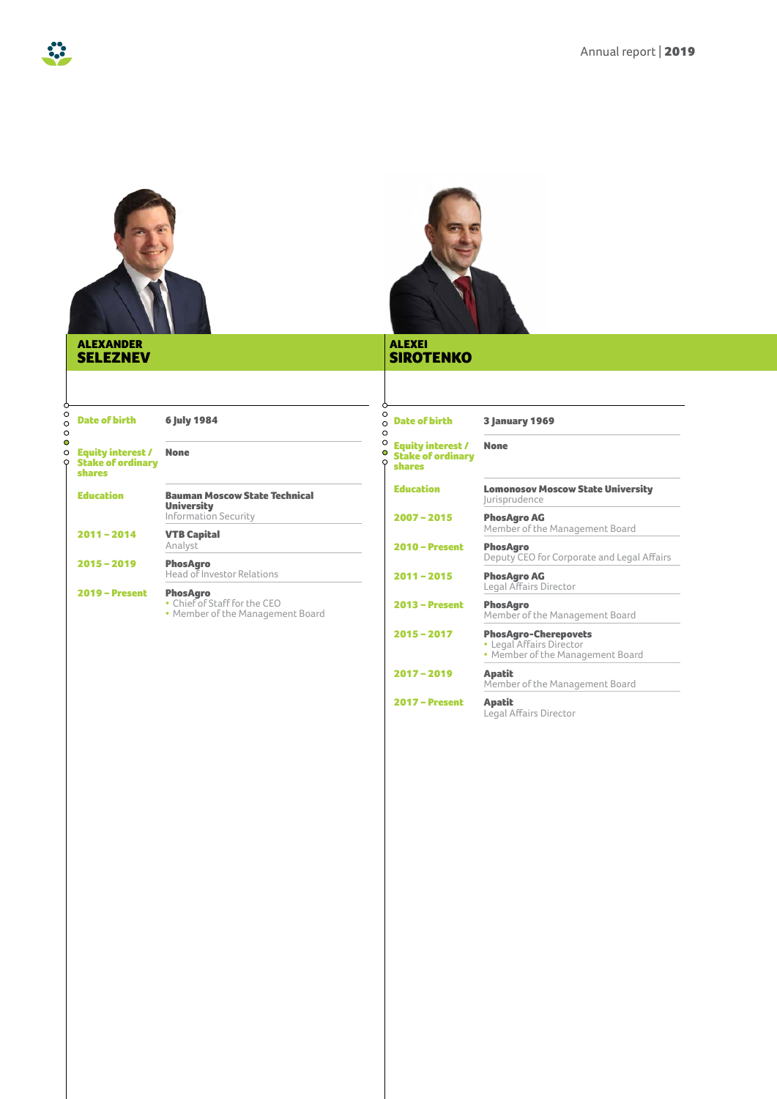

### ALEXANDER SELEZNEV



## SIROTENKO

 $2017$  – Present

**Apatit**<br>Legal Affairs Director

| $\circ$<br><b>Date of birth</b><br>$\Omega$                                                            | 6 July 1984                                                                         | O<br><b>Date of birth</b><br>$\Omega$                                          | <b>3 January 1969</b>                                                                       |
|--------------------------------------------------------------------------------------------------------|-------------------------------------------------------------------------------------|--------------------------------------------------------------------------------|---------------------------------------------------------------------------------------------|
| $\circ$<br>$\circ$<br><b>Equity interest /</b><br>$\circ$<br><b>Stake of ordinary</b><br><b>shares</b> | <b>None</b>                                                                         | O<br>$\circ$<br><b>Equity interest /</b><br><b>Stake of ordinary</b><br>shares | <b>None</b>                                                                                 |
| <b>Education</b>                                                                                       | <b>Bauman Moscow State Technical</b><br><b>University</b>                           | <b>Education</b>                                                               | <b>Lomonosov Moscow State University</b><br><i>lurisprudence</i>                            |
|                                                                                                        | <b>Information Security</b>                                                         | $2007 - 2015$                                                                  | <b>PhosAgro AG</b><br>Member of the Management Board                                        |
| $2011 - 2014$                                                                                          | <b>VTB Capital</b><br>Analyst                                                       | $2010 -$ Present                                                               | <b>PhosAgro</b>                                                                             |
| $2015 - 2019$                                                                                          | <b>PhosAgro</b>                                                                     |                                                                                | Deputy CEO for Corporate and Legal Affairs                                                  |
|                                                                                                        | Head of Investor Relations                                                          | $2011 - 2015$                                                                  | <b>PhosAgro AG</b><br>Legal Affairs Director                                                |
| <b>2019 - Present</b>                                                                                  | <b>PhosAgro</b><br>• Chief of Staff for the CEO<br>• Member of the Management Board | $2013 - Present$                                                               | <b>PhosAgro</b><br>Member of the Management Board                                           |
|                                                                                                        |                                                                                     | $2015 - 2017$                                                                  | <b>PhosAgro-Cherepovets</b><br>• Legal Affairs Director<br>• Member of the Management Board |
|                                                                                                        |                                                                                     | $2017 - 2019$                                                                  | <b>Apatit</b><br>Member of the Management Board                                             |